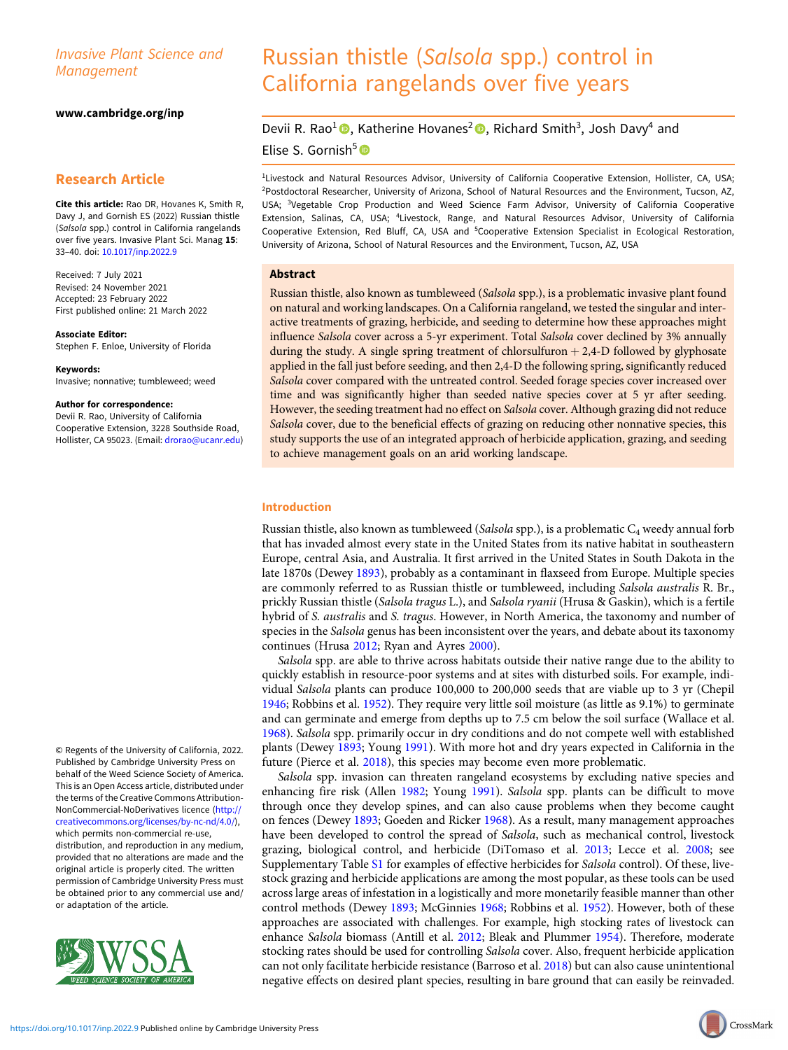# Invasive Plant Science and Management

### [www.cambridge.org/inp](https://www.cambridge.org/inp)

# Research Article

Cite this article: Rao DR, Hovanes K, Smith R Davy J, and Gornish ES (2022) Russian thistle (Salsola spp.) control in California rangelands over five years. Invasive Plant Sci. Manag 15: 33–40. doi: [10.1017/inp.2022.9](https://doi.org/10.1017/inp.2022.9)

Received: 7 July 2021 Revised: 24 November 2021 Accepted: 23 February 2022 First published online: 21 March 2022

Associate Editor: Stephen F. Enloe, University of Florida

Keywords: Invasive; nonnative; tumbleweed; weed

#### Author for correspondence:

Devii R. Rao, University of California Cooperative Extension, 3228 Southside Road, Hollister, CA 95023. (Email: [drorao@ucanr.edu\)](mailto:drorao@ucanr.edu)

© Regents of the University of California, 2022. Published by Cambridge University Press on behalf of the Weed Science Society of America. This is an Open Access article, distributed under the terms of the Creative Commons Attribution-NonCommercial-NoDerivatives licence ([http://](http://creativecommons.org/licenses/by-nc-nd/4.0/) [creativecommons.org/licenses/by-nc-nd/4.0/](http://creativecommons.org/licenses/by-nc-nd/4.0/)), which permits non-commercial re-use, distribution, and reproduction in any medium, provided that no alterations are made and the original article is properly cited. The written permission of Cambridge University Press must be obtained prior to any commercial use and/ or adaptation of the article.



# Russian thistle (Salsola spp.) control in California rangelands over five years

# Devii R. Rao<sup>1</sup><sup>®</sup>, Katherine Hovanes<sup>2</sup> ®, Richard Smith<sup>3</sup>, Josh Davy<sup>4</sup> and Elise S. Gornish<sup>5</sup><sup>®</sup>

<sup>1</sup>Livestock and Natural Resources Advisor, University of California Cooperative Extension, Hollister, CA, USA; 2 Postdoctoral Researcher, University of Arizona, School of Natural Resources and the Environment, Tucson, AZ, USA; <sup>3</sup>Vegetable Crop Production and Weed Science Farm Advisor, University of California Cooperative Extension, Salinas, CA, USA; <sup>4</sup>Livestock, Range, and Natural Resources Advisor, University of California Cooperative Extension, Red Bluff, CA, USA and <sup>5</sup>Cooperative Extension Specialist in Ecological Restoration, University of Arizona, School of Natural Resources and the Environment, Tucson, AZ, USA

### Abstract

Russian thistle, also known as tumbleweed (Salsola spp.), is a problematic invasive plant found on natural and working landscapes. On a California rangeland, we tested the singular and interactive treatments of grazing, herbicide, and seeding to determine how these approaches might influence Salsola cover across a 5-yr experiment. Total Salsola cover declined by 3% annually during the study. A single spring treatment of chlorsulfuron  $+ 2,4$ -D followed by glyphosate applied in the fall just before seeding, and then 2,4-D the following spring, significantly reduced Salsola cover compared with the untreated control. Seeded forage species cover increased over time and was significantly higher than seeded native species cover at 5 yr after seeding. However, the seeding treatment had no effect on Salsola cover. Although grazing did not reduce Salsola cover, due to the beneficial effects of grazing on reducing other nonnative species, this study supports the use of an integrated approach of herbicide application, grazing, and seeding to achieve management goals on an arid working landscape.

# Introduction

Russian thistle, also known as tumbleweed (Salsola spp.), is a problematic  $C_4$  weedy annual forb that has invaded almost every state in the United States from its native habitat in southeastern Europe, central Asia, and Australia. It first arrived in the United States in South Dakota in the late 1870s (Dewey [1893](#page-6-0)), probably as a contaminant in flaxseed from Europe. Multiple species are commonly referred to as Russian thistle or tumbleweed, including Salsola australis R. Br., prickly Russian thistle (Salsola tragus L.), and Salsola ryanii (Hrusa & Gaskin), which is a fertile hybrid of S. *australis* and S. *tragus*. However, in North America, the taxonomy and number of species in the Salsola genus has been inconsistent over the years, and debate about its taxonomy continues (Hrusa [2012](#page-6-0); Ryan and Ayres [2000\)](#page-7-0).

Salsola spp. are able to thrive across habitats outside their native range due to the ability to quickly establish in resource-poor systems and at sites with disturbed soils. For example, individual Salsola plants can produce 100,000 to 200,000 seeds that are viable up to 3 yr (Chepil [1946](#page-6-0); Robbins et al. [1952\)](#page-7-0). They require very little soil moisture (as little as 9.1%) to germinate and can germinate and emerge from depths up to 7.5 cm below the soil surface (Wallace et al. [1968](#page-7-0)). Salsola spp. primarily occur in dry conditions and do not compete well with established plants (Dewey [1893](#page-6-0); Young [1991](#page-7-0)). With more hot and dry years expected in California in the future (Pierce et al. [2018\)](#page-7-0), this species may become even more problematic.

Salsola spp. invasion can threaten rangeland ecosystems by excluding native species and enhancing fire risk (Allen [1982](#page-6-0); Young [1991\)](#page-7-0). Salsola spp. plants can be difficult to move through once they develop spines, and can also cause problems when they become caught on fences (Dewey [1893;](#page-6-0) Goeden and Ricker [1968](#page-6-0)). As a result, many management approaches have been developed to control the spread of Salsola, such as mechanical control, livestock grazing, biological control, and herbicide (DiTomaso et al. [2013](#page-6-0); Lecce et al. [2008;](#page-6-0) see Supplementary Table [S1](https://doi.org/10.1017/inp.2022.9) for examples of effective herbicides for Salsola control). Of these, livestock grazing and herbicide applications are among the most popular, as these tools can be used across large areas of infestation in a logistically and more monetarily feasible manner than other control methods (Dewey [1893](#page-6-0); McGinnies [1968;](#page-7-0) Robbins et al. [1952](#page-7-0)). However, both of these approaches are associated with challenges. For example, high stocking rates of livestock can enhance Salsola biomass (Antill et al. [2012](#page-6-0); Bleak and Plummer [1954\)](#page-6-0). Therefore, moderate stocking rates should be used for controlling Salsola cover. Also, frequent herbicide application can not only facilitate herbicide resistance (Barroso et al. [2018](#page-6-0)) but can also cause unintentional negative effects on desired plant species, resulting in bare ground that can easily be reinvaded.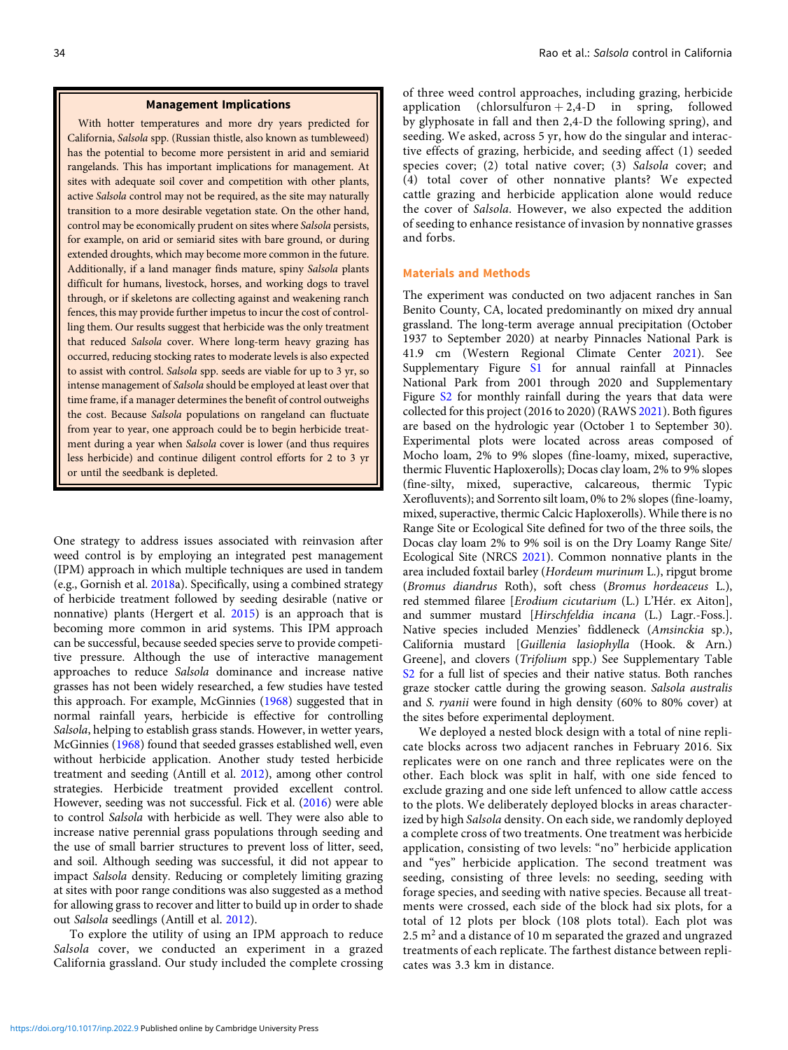#### Management Implications

With hotter temperatures and more dry years predicted for California, Salsola spp. (Russian thistle, also known as tumbleweed) has the potential to become more persistent in arid and semiarid rangelands. This has important implications for management. At sites with adequate soil cover and competition with other plants, active Salsola control may not be required, as the site may naturally transition to a more desirable vegetation state. On the other hand, control may be economically prudent on sites where Salsola persists, for example, on arid or semiarid sites with bare ground, or during extended droughts, which may become more common in the future. Additionally, if a land manager finds mature, spiny Salsola plants difficult for humans, livestock, horses, and working dogs to travel through, or if skeletons are collecting against and weakening ranch fences, this may provide further impetus to incur the cost of controlling them. Our results suggest that herbicide was the only treatment that reduced Salsola cover. Where long-term heavy grazing has occurred, reducing stocking rates to moderate levels is also expected to assist with control. Salsola spp. seeds are viable for up to 3 yr, so intense management of Salsola should be employed at least over that time frame, if a manager determines the benefit of control outweighs the cost. Because Salsola populations on rangeland can fluctuate from year to year, one approach could be to begin herbicide treatment during a year when Salsola cover is lower (and thus requires less herbicide) and continue diligent control efforts for 2 to 3 yr or until the seedbank is depleted.

One strategy to address issues associated with reinvasion after weed control is by employing an integrated pest management (IPM) approach in which multiple techniques are used in tandem (e.g., Gornish et al. [2018](#page-6-0)a). Specifically, using a combined strategy of herbicide treatment followed by seeding desirable (native or nonnative) plants (Hergert et al. [2015\)](#page-6-0) is an approach that is becoming more common in arid systems. This IPM approach can be successful, because seeded species serve to provide competitive pressure. Although the use of interactive management approaches to reduce Salsola dominance and increase native grasses has not been widely researched, a few studies have tested this approach. For example, McGinnies ([1968\)](#page-7-0) suggested that in normal rainfall years, herbicide is effective for controlling Salsola, helping to establish grass stands. However, in wetter years, McGinnies ([1968\)](#page-7-0) found that seeded grasses established well, even without herbicide application. Another study tested herbicide treatment and seeding (Antill et al. [2012](#page-6-0)), among other control strategies. Herbicide treatment provided excellent control. However, seeding was not successful. Fick et al. [\(2016](#page-6-0)) were able to control Salsola with herbicide as well. They were also able to increase native perennial grass populations through seeding and the use of small barrier structures to prevent loss of litter, seed, and soil. Although seeding was successful, it did not appear to impact Salsola density. Reducing or completely limiting grazing at sites with poor range conditions was also suggested as a method for allowing grass to recover and litter to build up in order to shade out Salsola seedlings (Antill et al. [2012](#page-6-0)).

To explore the utility of using an IPM approach to reduce Salsola cover, we conducted an experiment in a grazed California grassland. Our study included the complete crossing of three weed control approaches, including grazing, herbicide application (chlorsulfuron  $+2,4$ -D in spring, followed by glyphosate in fall and then 2,4-D the following spring), and seeding. We asked, across 5 yr, how do the singular and interactive effects of grazing, herbicide, and seeding affect (1) seeded species cover; (2) total native cover; (3) Salsola cover; and (4) total cover of other nonnative plants? We expected cattle grazing and herbicide application alone would reduce the cover of Salsola. However, we also expected the addition of seeding to enhance resistance of invasion by nonnative grasses and forbs.

# Materials and Methods

The experiment was conducted on two adjacent ranches in San Benito County, CA, located predominantly on mixed dry annual grassland. The long-term average annual precipitation (October 1937 to September 2020) at nearby Pinnacles National Park is 41.9 cm (Western Regional Climate Center [2021\)](#page-7-0). See Supplementary Figure [S1](https://doi.org/10.1017/inp.2022.9) for annual rainfall at Pinnacles National Park from 2001 through 2020 and Supplementary Figure [S2](https://doi.org/10.1017/inp.2022.9) for monthly rainfall during the years that data were collected for this project (2016 to 2020) (RAWS [2021\)](#page-7-0). Both figures are based on the hydrologic year (October 1 to September 30). Experimental plots were located across areas composed of Mocho loam, 2% to 9% slopes (fine-loamy, mixed, superactive, thermic Fluventic Haploxerolls); Docas clay loam, 2% to 9% slopes (fine-silty, mixed, superactive, calcareous, thermic Typic Xerofluvents); and Sorrento silt loam, 0% to 2% slopes (fine-loamy, mixed, superactive, thermic Calcic Haploxerolls). While there is no Range Site or Ecological Site defined for two of the three soils, the Docas clay loam 2% to 9% soil is on the Dry Loamy Range Site/ Ecological Site (NRCS [2021\)](#page-7-0). Common nonnative plants in the area included foxtail barley (Hordeum murinum L.), ripgut brome (Bromus diandrus Roth), soft chess (Bromus hordeaceus L.), red stemmed filaree [Erodium cicutarium (L.) L'Hér. ex Aiton], and summer mustard [Hirschfeldia incana (L.) Lagr.-Foss.]. Native species included Menzies' fiddleneck (Amsinckia sp.), California mustard [Guillenia lasiophylla (Hook. & Arn.) Greene], and clovers (Trifolium spp.) See Supplementary Table [S2](https://doi.org/10.1017/inp.2022.9) for a full list of species and their native status. Both ranches graze stocker cattle during the growing season. Salsola australis and S. ryanii were found in high density (60% to 80% cover) at the sites before experimental deployment.

We deployed a nested block design with a total of nine replicate blocks across two adjacent ranches in February 2016. Six replicates were on one ranch and three replicates were on the other. Each block was split in half, with one side fenced to exclude grazing and one side left unfenced to allow cattle access to the plots. We deliberately deployed blocks in areas characterized by high Salsola density. On each side, we randomly deployed a complete cross of two treatments. One treatment was herbicide application, consisting of two levels: "no" herbicide application and "yes" herbicide application. The second treatment was seeding, consisting of three levels: no seeding, seeding with forage species, and seeding with native species. Because all treatments were crossed, each side of the block had six plots, for a total of 12 plots per block (108 plots total). Each plot was 2.5 m<sup>2</sup> and a distance of 10 m separated the grazed and ungrazed treatments of each replicate. The farthest distance between replicates was 3.3 km in distance.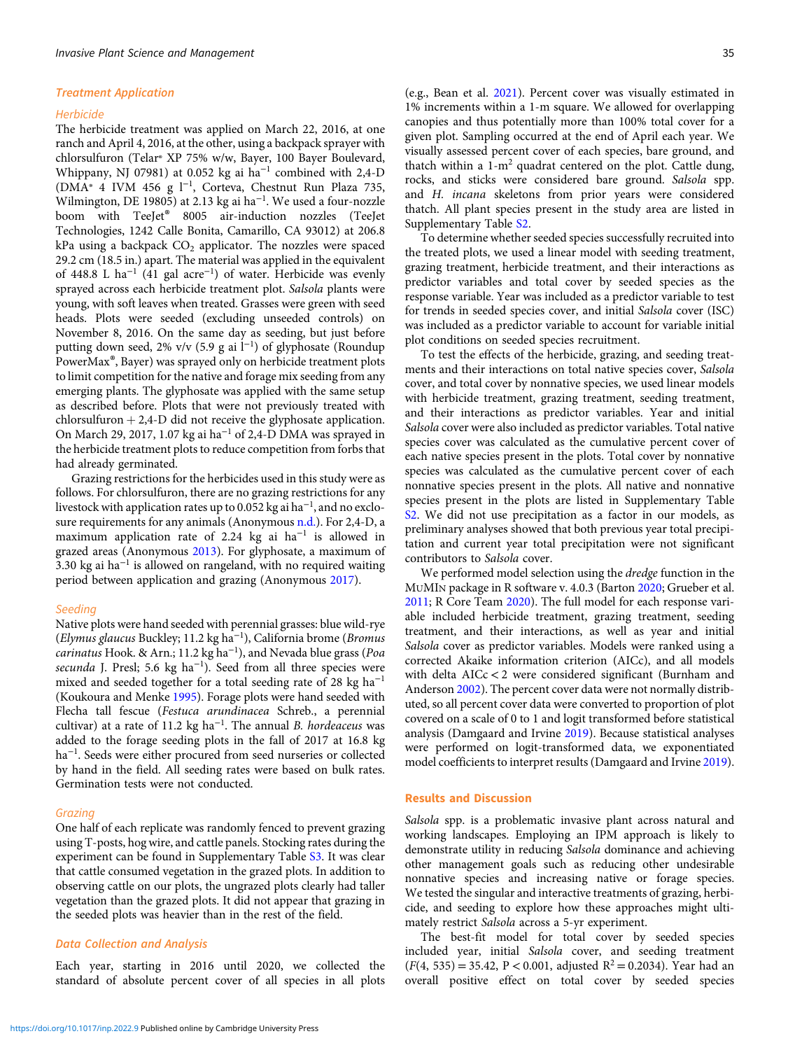#### Treatment Application

#### **Herbicide**

The herbicide treatment was applied on March 22, 2016, at one ranch and April 4, 2016, at the other, using a backpack sprayer with chlorsulfuron (Telar® XP 75% w/w, Bayer, 100 Bayer Boulevard, Whippany, NJ 07981) at 0.052 kg ai ha<sup>−</sup><sup>1</sup> combined with 2,4-D (DMA® 4 IVM 456 g l<sup>−</sup><sup>1</sup> , Corteva, Chestnut Run Plaza 735, Wilmington, DE 19805) at 2.13 kg ai ha<sup>−</sup><sup>1</sup> . We used a four-nozzle boom with TeeJet<sup>®</sup> 8005 air-induction nozzles (TeeJet Technologies, 1242 Calle Bonita, Camarillo, CA 93012) at 206.8 kPa using a backpack  $CO<sub>2</sub>$  applicator. The nozzles were spaced 29.2 cm (18.5 in.) apart. The material was applied in the equivalent of 448.8 L ha<sup>−</sup><sup>1</sup> (41 gal acre<sup>−</sup><sup>1</sup> ) of water. Herbicide was evenly sprayed across each herbicide treatment plot. Salsola plants were young, with soft leaves when treated. Grasses were green with seed heads. Plots were seeded (excluding unseeded controls) on November 8, 2016. On the same day as seeding, but just before putting down seed, 2% v/v (5.9 g ai l<sup>-1</sup>) of glyphosate (Roundup PowerMax®, Bayer) was sprayed only on herbicide treatment plots to limit competition for the native and forage mix seeding from any emerging plants. The glyphosate was applied with the same setup as described before. Plots that were not previously treated with chlorsulfuron  $+ 2,4$ -D did not receive the glyphosate application. On March 29, 2017, 1.07 kg ai ha<sup>−</sup><sup>1</sup> of 2,4-D DMA was sprayed in the herbicide treatment plots to reduce competition from forbs that had already germinated.

Grazing restrictions for the herbicides used in this study were as follows. For chlorsulfuron, there are no grazing restrictions for any livestock with application rates up to 0.052 kg ai ha $^{-1}$ , and no exclosure requirements for any animals (Anonymous [n.d.\)](#page-6-0). For 2,4-D, a maximum application rate of 2.24 kg ai ha<sup>−</sup><sup>1</sup> is allowed in grazed areas (Anonymous [2013\)](#page-6-0). For glyphosate, a maximum of 3.30 kg ai ha<sup>−</sup><sup>1</sup> is allowed on rangeland, with no required waiting period between application and grazing (Anonymous [2017\)](#page-6-0).

#### Seeding

Native plots were hand seeded with perennial grasses: blue wild-rye (Elymus glaucus Buckley; 11.2 kg ha<sup>−</sup><sup>1</sup> ), California brome (Bromus carinatus Hook. & Arn.; 11.2 kg ha<sup>-1</sup>), and Nevada blue grass (Poa secunda J. Presl; 5.6 kg ha<sup>-1</sup>). Seed from all three species were mixed and seeded together for a total seeding rate of 28 kg ha<sup>-1</sup> (Koukoura and Menke [1995\)](#page-6-0). Forage plots were hand seeded with Flecha tall fescue (Festuca arundinacea Schreb., a perennial cultivar) at a rate of 11.2 kg ha<sup>-1</sup>. The annual *B. hordeaceus* was added to the forage seeding plots in the fall of 2017 at 16.8 kg ha<sup>-1</sup>. Seeds were either procured from seed nurseries or collected by hand in the field. All seeding rates were based on bulk rates. Germination tests were not conducted.

#### Grazing

One half of each replicate was randomly fenced to prevent grazing using T-posts, hog wire, and cattle panels. Stocking rates during the experiment can be found in Supplementary Table [S3](https://doi.org/10.1017/inp.2022.9). It was clear that cattle consumed vegetation in the grazed plots. In addition to observing cattle on our plots, the ungrazed plots clearly had taller vegetation than the grazed plots. It did not appear that grazing in the seeded plots was heavier than in the rest of the field.

## Data Collection and Analysis

Each year, starting in 2016 until 2020, we collected the standard of absolute percent cover of all species in all plots (e.g., Bean et al. [2021](#page-6-0)). Percent cover was visually estimated in 1% increments within a 1-m square. We allowed for overlapping canopies and thus potentially more than 100% total cover for a given plot. Sampling occurred at the end of April each year. We visually assessed percent cover of each species, bare ground, and thatch within a  $1-m^2$  quadrat centered on the plot. Cattle dung, rocks, and sticks were considered bare ground. Salsola spp. and H. incana skeletons from prior years were considered thatch. All plant species present in the study area are listed in Supplementary Table [S2](https://doi.org/10.1017/inp.2022.9).

To determine whether seeded species successfully recruited into the treated plots, we used a linear model with seeding treatment, grazing treatment, herbicide treatment, and their interactions as predictor variables and total cover by seeded species as the response variable. Year was included as a predictor variable to test for trends in seeded species cover, and initial Salsola cover (ISC) was included as a predictor variable to account for variable initial plot conditions on seeded species recruitment.

To test the effects of the herbicide, grazing, and seeding treatments and their interactions on total native species cover, Salsola cover, and total cover by nonnative species, we used linear models with herbicide treatment, grazing treatment, seeding treatment, and their interactions as predictor variables. Year and initial Salsola cover were also included as predictor variables. Total native species cover was calculated as the cumulative percent cover of each native species present in the plots. Total cover by nonnative species was calculated as the cumulative percent cover of each nonnative species present in the plots. All native and nonnative species present in the plots are listed in Supplementary Table [S2](https://doi.org/10.1017/inp.2022.9). We did not use precipitation as a factor in our models, as preliminary analyses showed that both previous year total precipitation and current year total precipitation were not significant contributors to Salsola cover.

We performed model selection using the *dredge* function in the MUMIN package in R software v. 4.0.3 (Barton [2020](#page-6-0); Grueber et al. [2011](#page-6-0); R Core Team [2020\)](#page-7-0). The full model for each response variable included herbicide treatment, grazing treatment, seeding treatment, and their interactions, as well as year and initial Salsola cover as predictor variables. Models were ranked using a corrected Akaike information criterion (AICc), and all models with delta AICc < 2 were considered significant (Burnham and Anderson [2002](#page-6-0)). The percent cover data were not normally distributed, so all percent cover data were converted to proportion of plot covered on a scale of 0 to 1 and logit transformed before statistical analysis (Damgaard and Irvine [2019](#page-6-0)). Because statistical analyses were performed on logit-transformed data, we exponentiated model coefficients to interpret results (Damgaard and Irvine [2019\)](#page-6-0).

# Results and Discussion

Salsola spp. is a problematic invasive plant across natural and working landscapes. Employing an IPM approach is likely to demonstrate utility in reducing Salsola dominance and achieving other management goals such as reducing other undesirable nonnative species and increasing native or forage species. We tested the singular and interactive treatments of grazing, herbicide, and seeding to explore how these approaches might ultimately restrict Salsola across a 5-yr experiment.

The best-fit model for total cover by seeded species included year, initial Salsola cover, and seeding treatment  $(F(4, 535) = 35.42, P < 0.001,$  adjusted  $R^2 = 0.2034$ ). Year had an overall positive effect on total cover by seeded species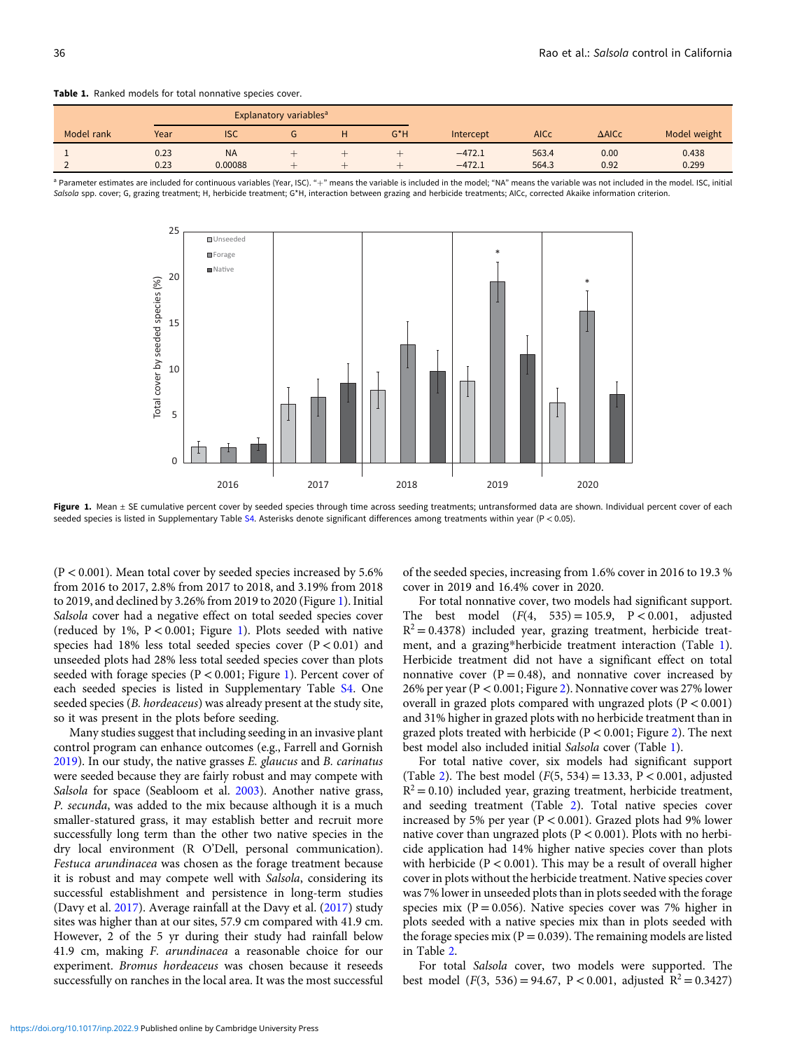<span id="page-3-0"></span>Table 1. Ranked models for total nonnative species cover.

|            |      |            | <b>Explanatory variables<sup>a</sup></b> |  |        |           |             |                  |              |
|------------|------|------------|------------------------------------------|--|--------|-----------|-------------|------------------|--------------|
| Model rank | Year | <b>ISC</b> | u                                        |  | $G^*H$ | Intercept | <b>AICc</b> | $\triangle$ AICc | Model weight |
|            | 0.23 | <b>NA</b>  |                                          |  |        | $-472.1$  | 563.4       | 0.00             | 0.438        |
| -          | 0.23 | 0.00088    |                                          |  |        | $-472.1$  | 564.3       | 0.92             | 0.299        |





Figure 1. Mean ± SE cumulative percent cover by seeded species through time across seeding treatments; untransformed data are shown. Individual percent cover of each seeded species is listed in Supplementary Table [S4](https://doi.org/10.1017/inp.2022.9). Asterisks denote significant differences among treatments within year (P < 0.05).

 $(P < 0.001)$ . Mean total cover by seeded species increased by 5.6% from 2016 to 2017, 2.8% from 2017 to 2018, and 3.19% from 2018 to 2019, and declined by 3.26% from 2019 to 2020 (Figure 1). Initial Salsola cover had a negative effect on total seeded species cover (reduced by 1%, P < 0.001; Figure 1). Plots seeded with native species had 18% less total seeded species cover  $(P < 0.01)$  and unseeded plots had 28% less total seeded species cover than plots seeded with forage species ( $P < 0.001$ ; Figure 1). Percent cover of each seeded species is listed in Supplementary Table [S4.](https://doi.org/10.1017/inp.2022.9) One seeded species (B. hordeaceus) was already present at the study site, so it was present in the plots before seeding.

Many studies suggest that including seeding in an invasive plant control program can enhance outcomes (e.g., Farrell and Gornish [2019\)](#page-6-0). In our study, the native grasses E. glaucus and B. carinatus were seeded because they are fairly robust and may compete with Salsola for space (Seabloom et al. [2003](#page-7-0)). Another native grass, P. secunda, was added to the mix because although it is a much smaller-statured grass, it may establish better and recruit more successfully long term than the other two native species in the dry local environment (R O'Dell, personal communication). Festuca arundinacea was chosen as the forage treatment because it is robust and may compete well with Salsola, considering its successful establishment and persistence in long-term studies (Davy et al. [2017\)](#page-6-0). Average rainfall at the Davy et al. ([2017](#page-6-0)) study sites was higher than at our sites, 57.9 cm compared with 41.9 cm. However, 2 of the 5 yr during their study had rainfall below 41.9 cm, making F. arundinacea a reasonable choice for our experiment. Bromus hordeaceus was chosen because it reseeds successfully on ranches in the local area. It was the most successful

of the seeded species, increasing from 1.6% cover in 2016 to 19.3 % cover in 2019 and 16.4% cover in 2020.

For total nonnative cover, two models had significant support. The best model  $(F(4, 535) = 105.9, P < 0.001,$  adjusted  $R^2 = 0.4378$ ) included year, grazing treatment, herbicide treatment, and a grazing\*herbicide treatment interaction (Table 1). Herbicide treatment did not have a significant effect on total nonnative cover  $(P = 0.48)$ , and nonnative cover increased by 26% per year (P < 0.001; Figure [2\)](#page-4-0). Nonnative cover was 27% lower overall in grazed plots compared with ungrazed plots (P < 0.001) and 31% higher in grazed plots with no herbicide treatment than in grazed plots treated with herbicide (P < 0.001; Figure [2](#page-4-0)). The next best model also included initial Salsola cover (Table 1).

For total native cover, six models had significant support (Table [2](#page-4-0)). The best model  $(F(5, 534) = 13.33, P < 0.001,$  adjusted  $R^2$  = 0.10) included year, grazing treatment, herbicide treatment, and seeding treatment (Table [2\)](#page-4-0). Total native species cover increased by 5% per year (P < 0.001). Grazed plots had 9% lower native cover than ungrazed plots ( $P < 0.001$ ). Plots with no herbicide application had 14% higher native species cover than plots with herbicide ( $P < 0.001$ ). This may be a result of overall higher cover in plots without the herbicide treatment. Native species cover was 7% lower in unseeded plots than in plots seeded with the forage species mix ( $P = 0.056$ ). Native species cover was 7% higher in plots seeded with a native species mix than in plots seeded with the forage species mix ( $P = 0.039$ ). The remaining models are listed in Table [2.](#page-4-0)

For total Salsola cover, two models were supported. The best model (F(3, 536) = 94.67, P < 0.001, adjusted  $R^2 = 0.3427$ )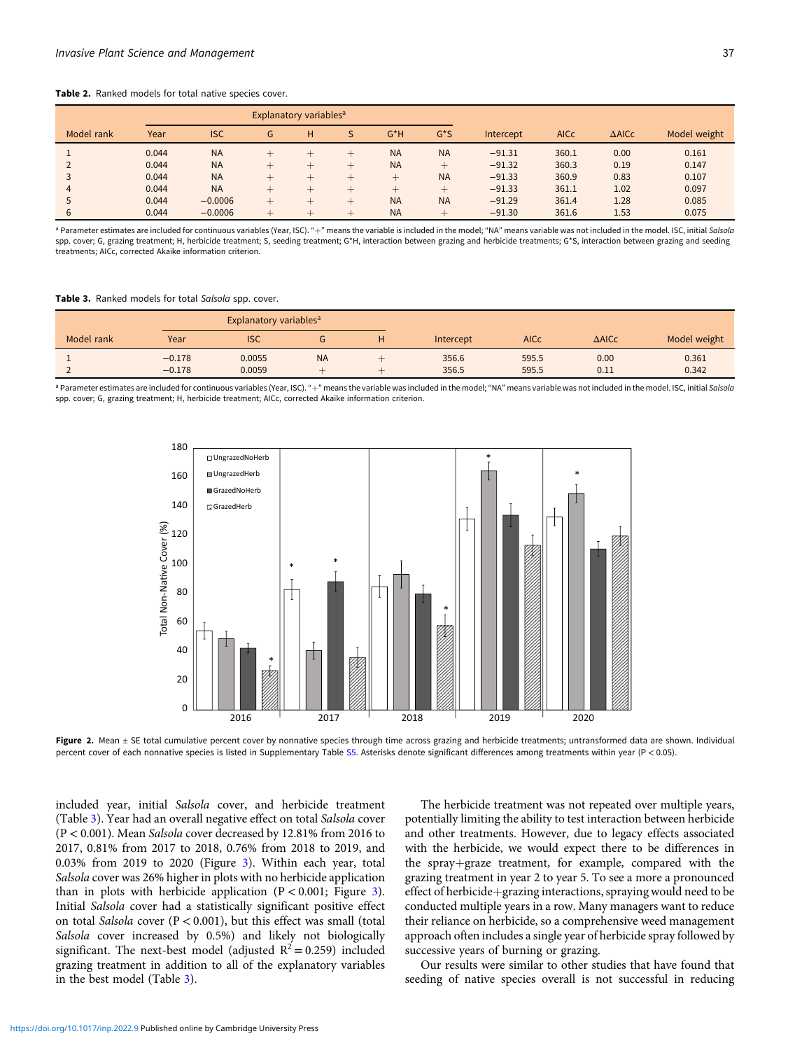#### <span id="page-4-0"></span>Table 2. Ranked models for total native species cover.

|            |       |            | <b>Explanatory variables<sup>a</sup></b> |   |   |           |              |           |             |                  |              |
|------------|-------|------------|------------------------------------------|---|---|-----------|--------------|-----------|-------------|------------------|--------------|
| Model rank | Year  | <b>ISC</b> | G                                        | н | S | $G^*H$    | $G^{\star}S$ | Intercept | <b>AICc</b> | $\triangle$ AICc | Model weight |
|            | 0.044 | <b>NA</b>  |                                          |   |   | <b>NA</b> | <b>NA</b>    | $-91.31$  | 360.1       | 0.00             | 0.161        |
|            | 0.044 | <b>NA</b>  |                                          |   |   | <b>NA</b> | $+$          | $-91.32$  | 360.3       | 0.19             | 0.147        |
|            | 0.044 | <b>NA</b>  |                                          |   |   |           | <b>NA</b>    | $-91.33$  | 360.9       | 0.83             | 0.107        |
| 4          | 0.044 | <b>NA</b>  |                                          |   |   |           | $+$          | $-91.33$  | 361.1       | 1.02             | 0.097        |
|            | 0.044 | $-0.0006$  |                                          |   |   | <b>NA</b> | <b>NA</b>    | $-91.29$  | 361.4       | 1.28             | 0.085        |
| 6          | 0.044 | $-0.0006$  | $\overline{\phantom{0}}$                 |   | ÷ | <b>NA</b> | $+$          | $-91.30$  | 361.6       | 1.53             | 0.075        |

<sup>a</sup> Parameter estimates are included for continuous variables (Year, ISC). "+" means the variable is included in the model; "NA" means variable was not included in the model. ISC, initial Salsola spp. cover; G, grazing treatment; H, herbicide treatment; S, seeding treatment; G\*H, interaction between grazing and herbicide treatments; G\*S, interaction between grazing and seeding treatments; AICc, corrected Akaike information criterion.

Table 3. Ranked models for total Salsola spp. cover.

| Explanatory variables <sup>a</sup> |          |            |           |  |           |             |                  |              |
|------------------------------------|----------|------------|-----------|--|-----------|-------------|------------------|--------------|
| Model rank                         | Year     | <b>ISC</b> |           |  | Intercept | <b>AICc</b> | $\triangle$ AICc | Model weight |
|                                    | $-0.178$ | 0.0055     | <b>NA</b> |  | 356.6     | 595.5       | 0.00             | 0.361        |
|                                    | $-0.178$ | 0.0059     |           |  | 356.5     | 595.5       | 0.11             | 0.342        |

<sup>a</sup> Parameter estimates are included for continuous variables (Year, ISC). "+" means the variable was included in the model; "NA" means variable was not included in the model. ISC, initial Salsola spp. cover; G, grazing treatment; H, herbicide treatment; AICc, corrected Akaike information criterion.



Figure 2. Mean ± SE total cumulative percent cover by nonnative species through time across grazing and herbicide treatments; untransformed data are shown. Individual percent cover of each nonnative species is listed in Supplementary Table [S5](https://doi.org/10.1017/inp.2022.9). Asterisks denote significant differences among treatments within year (P < 0.05).

included year, initial Salsola cover, and herbicide treatment (Table 3). Year had an overall negative effect on total Salsola cover (P < 0.001). Mean Salsola cover decreased by 12.81% from 2016 to 2017, 0.81% from 2017 to 2018, 0.76% from 2018 to 2019, and 0.03% from 2019 to 2020 (Figure [3\)](#page-5-0). Within each year, total Salsola cover was 26% higher in plots with no herbicide application than in plots with herbicide application  $(P < 0.001$ ; Figure [3\)](#page-5-0). Initial Salsola cover had a statistically significant positive effect on total Salsola cover ( $P < 0.001$ ), but this effect was small (total Salsola cover increased by 0.5%) and likely not biologically significant. The next-best model (adjusted  $R^2 = 0.259$ ) included grazing treatment in addition to all of the explanatory variables in the best model (Table 3).

The herbicide treatment was not repeated over multiple years, potentially limiting the ability to test interaction between herbicide and other treatments. However, due to legacy effects associated with the herbicide, we would expect there to be differences in the spray+graze treatment, for example, compared with the grazing treatment in year 2 to year 5. To see a more a pronounced effect of herbicide+grazing interactions, spraying would need to be conducted multiple years in a row. Many managers want to reduce their reliance on herbicide, so a comprehensive weed management approach often includes a single year of herbicide spray followed by successive years of burning or grazing.

Our results were similar to other studies that have found that seeding of native species overall is not successful in reducing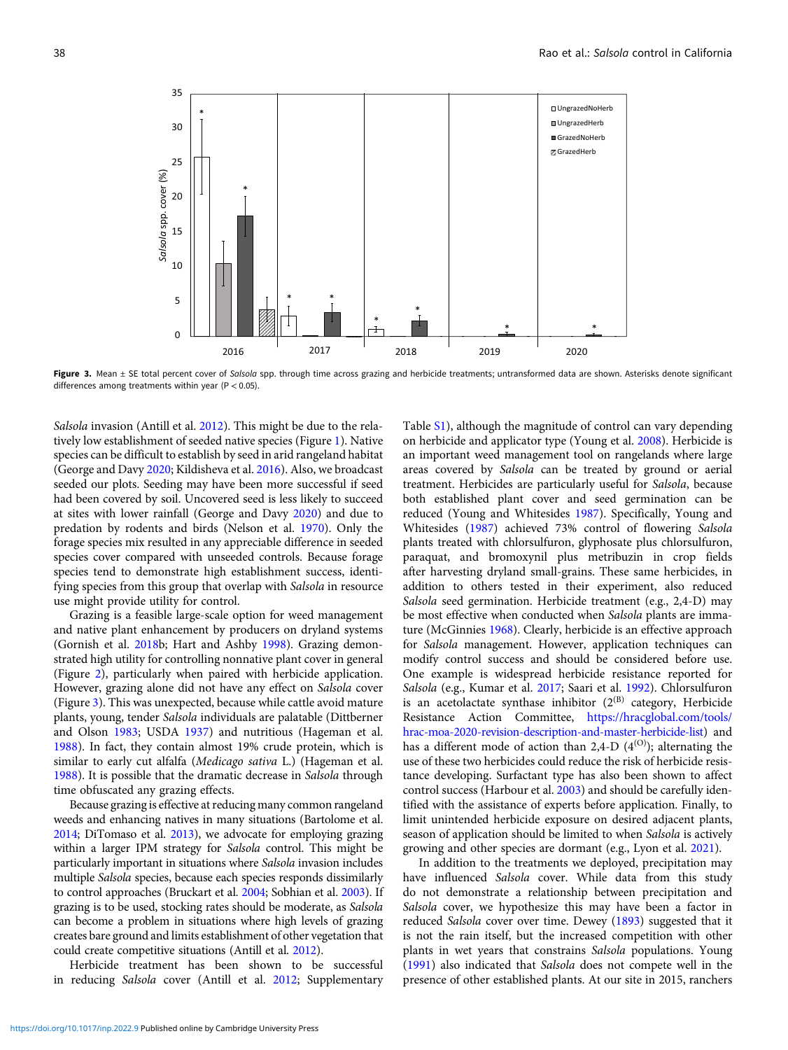<span id="page-5-0"></span>

Figure 3. Mean ± SE total percent cover of Salsola spp. through time across grazing and herbicide treatments; untransformed data are shown. Asterisks denote significant differences among treatments within year ( $P < 0.05$ ).

Salsola invasion (Antill et al. [2012\)](#page-6-0). This might be due to the relatively low establishment of seeded native species (Figure [1](#page-3-0)). Native species can be difficult to establish by seed in arid rangeland habitat (George and Davy [2020](#page-6-0); Kildisheva et al. [2016](#page-6-0)). Also, we broadcast seeded our plots. Seeding may have been more successful if seed had been covered by soil. Uncovered seed is less likely to succeed at sites with lower rainfall (George and Davy [2020\)](#page-6-0) and due to predation by rodents and birds (Nelson et al. [1970](#page-7-0)). Only the forage species mix resulted in any appreciable difference in seeded species cover compared with unseeded controls. Because forage species tend to demonstrate high establishment success, identifying species from this group that overlap with Salsola in resource use might provide utility for control.

Grazing is a feasible large-scale option for weed management and native plant enhancement by producers on dryland systems (Gornish et al. [2018b](#page-6-0); Hart and Ashby [1998](#page-6-0)). Grazing demonstrated high utility for controlling nonnative plant cover in general (Figure [2](#page-4-0)), particularly when paired with herbicide application. However, grazing alone did not have any effect on Salsola cover (Figure 3). This was unexpected, because while cattle avoid mature plants, young, tender Salsola individuals are palatable (Dittberner and Olson [1983](#page-6-0); USDA [1937\)](#page-7-0) and nutritious (Hageman et al. [1988\)](#page-6-0). In fact, they contain almost 19% crude protein, which is similar to early cut alfalfa (Medicago sativa L.) (Hageman et al. [1988\)](#page-6-0). It is possible that the dramatic decrease in Salsola through time obfuscated any grazing effects.

Because grazing is effective at reducing many common rangeland weeds and enhancing natives in many situations (Bartolome et al. [2014](#page-6-0); DiTomaso et al. [2013\)](#page-6-0), we advocate for employing grazing within a larger IPM strategy for Salsola control. This might be particularly important in situations where Salsola invasion includes multiple Salsola species, because each species responds dissimilarly to control approaches (Bruckart et al. [2004;](#page-6-0) Sobhian et al. [2003\)](#page-7-0). If grazing is to be used, stocking rates should be moderate, as Salsola can become a problem in situations where high levels of grazing creates bare ground and limits establishment of other vegetation that could create competitive situations (Antill et al. [2012](#page-6-0)).

Herbicide treatment has been shown to be successful in reducing Salsola cover (Antill et al. [2012;](#page-6-0) Supplementary Table [S1](https://doi.org/10.1017/inp.2022.9)), although the magnitude of control can vary depending on herbicide and applicator type (Young et al. [2008\)](#page-7-0). Herbicide is an important weed management tool on rangelands where large areas covered by Salsola can be treated by ground or aerial treatment. Herbicides are particularly useful for Salsola, because both established plant cover and seed germination can be reduced (Young and Whitesides [1987\)](#page-7-0). Specifically, Young and Whitesides ([1987](#page-7-0)) achieved 73% control of flowering Salsola plants treated with chlorsulfuron, glyphosate plus chlorsulfuron, paraquat, and bromoxynil plus metribuzin in crop fields after harvesting dryland small-grains. These same herbicides, in addition to others tested in their experiment, also reduced Salsola seed germination. Herbicide treatment (e.g., 2,4-D) may be most effective when conducted when Salsola plants are immature (McGinnies [1968\)](#page-7-0). Clearly, herbicide is an effective approach for Salsola management. However, application techniques can modify control success and should be considered before use. One example is widespread herbicide resistance reported for Salsola (e.g., Kumar et al. [2017](#page-6-0); Saari et al. [1992](#page-7-0)). Chlorsulfuron is an acetolactate synthase inhibitor  $(2^{(B)}$  category, Herbicide Resistance Action Committee, [https://hracglobal.com/tools/](https://hracglobal.com/tools/hrac-moa-2020-revision-description-and-master-herbicide-list) [hrac-moa-2020-revision-description-and-master-herbicide-list\)](https://hracglobal.com/tools/hrac-moa-2020-revision-description-and-master-herbicide-list) and has a different mode of action than 2,4-D  $(4^{(O)})$ ; alternating the use of these two herbicides could reduce the risk of herbicide resistance developing. Surfactant type has also been shown to affect control success (Harbour et al. [2003](#page-6-0)) and should be carefully identified with the assistance of experts before application. Finally, to limit unintended herbicide exposure on desired adjacent plants, season of application should be limited to when Salsola is actively growing and other species are dormant (e.g., Lyon et al. [2021](#page-6-0)).

In addition to the treatments we deployed, precipitation may have influenced Salsola cover. While data from this study do not demonstrate a relationship between precipitation and Salsola cover, we hypothesize this may have been a factor in reduced Salsola cover over time. Dewey [\(1893\)](#page-6-0) suggested that it is not the rain itself, but the increased competition with other plants in wet years that constrains Salsola populations. Young ([1991\)](#page-7-0) also indicated that Salsola does not compete well in the presence of other established plants. At our site in 2015, ranchers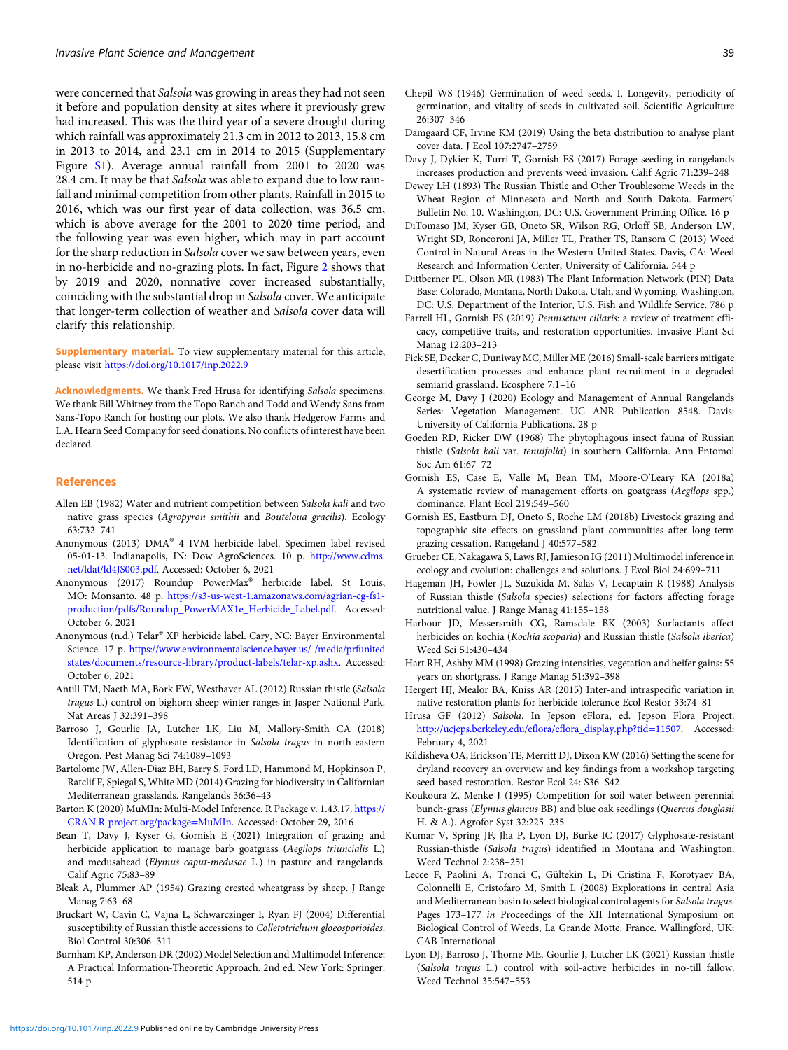<span id="page-6-0"></span>were concerned that Salsola was growing in areas they had not seen it before and population density at sites where it previously grew had increased. This was the third year of a severe drought during which rainfall was approximately 21.3 cm in 2012 to 2013, 15.8 cm in 2013 to 2014, and 23.1 cm in 2014 to 2015 (Supplementary Figure [S1\)](https://doi.org/10.1017/inp.2022.9). Average annual rainfall from 2001 to 2020 was 28.4 cm. It may be that Salsola was able to expand due to low rainfall and minimal competition from other plants. Rainfall in 2015 to 2016, which was our first year of data collection, was 36.5 cm, which is above average for the 2001 to 2020 time period, and the following year was even higher, which may in part account for the sharp reduction in Salsola cover we saw between years, even in no-herbicide and no-grazing plots. In fact, Figure [2](#page-4-0) shows that by 2019 and 2020, nonnative cover increased substantially, coinciding with the substantial drop in Salsola cover. We anticipate that longer-term collection of weather and Salsola cover data will clarify this relationship.

Supplementary material. To view supplementary material for this article, please visit <https://doi.org/10.1017/inp.2022.9>

Acknowledgments. We thank Fred Hrusa for identifying Salsola specimens. We thank Bill Whitney from the Topo Ranch and Todd and Wendy Sans from Sans-Topo Ranch for hosting our plots. We also thank Hedgerow Farms and L.A. Hearn Seed Company for seed donations. No conflicts of interest have been declared.

#### References

- Allen EB (1982) Water and nutrient competition between Salsola kali and two native grass species (Agropyron smithii and Bouteloua gracilis). Ecology 63:732–741
- Anonymous (2013) DMA® 4 IVM herbicide label. Specimen label revised 05-01-13. Indianapolis, IN: Dow AgroSciences. 10 p. [http://www.cdms.](http://www.cdms.net/ldat/ld4JS003.pdf) [net/ldat/ld4JS003.pdf](http://www.cdms.net/ldat/ld4JS003.pdf). Accessed: October 6, 2021
- Anonymous (2017) Roundup PowerMax® herbicide label. St Louis, MO: Monsanto. 48 p. [https://s3-us-west-1.amazonaws.com/agrian-cg-fs1](https://s3-us-west-1.amazonaws.com/agrian-cg-fs1-production/pdfs/Roundup_PowerMAX1e_Herbicide_Label.pdf) [production/pdfs/Roundup\\_PowerMAX1e\\_Herbicide\\_Label.pdf.](https://s3-us-west-1.amazonaws.com/agrian-cg-fs1-production/pdfs/Roundup_PowerMAX1e_Herbicide_Label.pdf) Accessed: October 6, 2021
- Anonymous (n.d.) Telar® XP herbicide label. Cary, NC: Bayer Environmental Science. 17 p. [https://www.environmentalscience.bayer.us/-/media/prfunited](https://www.environmentalscience.bayer.us/-/media/prfunitedstates/documents/resource-library/product-labels/telar-xp.ashx) [states/documents/resource-library/product-labels/telar-xp.ashx.](https://www.environmentalscience.bayer.us/-/media/prfunitedstates/documents/resource-library/product-labels/telar-xp.ashx) Accessed: October 6, 2021
- Antill TM, Naeth MA, Bork EW, Westhaver AL (2012) Russian thistle (Salsola tragus L.) control on bighorn sheep winter ranges in Jasper National Park. Nat Areas J 32:391–398
- Barroso J, Gourlie JA, Lutcher LK, Liu M, Mallory-Smith CA (2018) Identification of glyphosate resistance in Salsola tragus in north-eastern Oregon. Pest Manag Sci 74:1089–1093
- Bartolome JW, Allen-Diaz BH, Barry S, Ford LD, Hammond M, Hopkinson P, Ratclif F, Spiegal S, White MD (2014) Grazing for biodiversity in Californian Mediterranean grasslands. Rangelands 36:36–43
- Barton K (2020) MuMIn: Multi-Model Inference. R Package v. 1.43.17. [https://](https://CRAN.R-project.org/package=MuMIn) [CRAN.R-project.org/package](https://CRAN.R-project.org/package=MuMIn)=[MuMIn.](https://CRAN.R-project.org/package=MuMIn) Accessed: October 29, 2016
- Bean T, Davy J, Kyser G, Gornish E (2021) Integration of grazing and herbicide application to manage barb goatgrass (Aegilops triuncialis L.) and medusahead (Elymus caput-medusae L.) in pasture and rangelands. Calif Agric 75:83–89
- Bleak A, Plummer AP (1954) Grazing crested wheatgrass by sheep. J Range Manag 7:63–68
- Bruckart W, Cavin C, Vajna L, Schwarczinger I, Ryan FJ (2004) Differential susceptibility of Russian thistle accessions to Colletotrichum gloeosporioides. Biol Control 30:306–311
- Burnham KP, Anderson DR (2002) Model Selection and Multimodel Inference: A Practical Information-Theoretic Approach. 2nd ed. New York: Springer. 514 p
- Chepil WS (1946) Germination of weed seeds. I. Longevity, periodicity of germination, and vitality of seeds in cultivated soil. Scientific Agriculture 26:307–346
- Damgaard CF, Irvine KM (2019) Using the beta distribution to analyse plant cover data. J Ecol 107:2747–2759
- Davy J, Dykier K, Turri T, Gornish ES (2017) Forage seeding in rangelands increases production and prevents weed invasion. Calif Agric 71:239–248
- Dewey LH (1893) The Russian Thistle and Other Troublesome Weeds in the Wheat Region of Minnesota and North and South Dakota. Farmers' Bulletin No. 10. Washington, DC: U.S. Government Printing Office. 16 p
- DiTomaso JM, Kyser GB, Oneto SR, Wilson RG, Orloff SB, Anderson LW, Wright SD, Roncoroni JA, Miller TL, Prather TS, Ransom C (2013) Weed Control in Natural Areas in the Western United States. Davis, CA: Weed Research and Information Center, University of California. 544 p
- Dittberner PL, Olson MR (1983) The Plant Information Network (PIN) Data Base: Colorado, Montana, North Dakota, Utah, and Wyoming. Washington, DC: U.S. Department of the Interior, U.S. Fish and Wildlife Service. 786 p
- Farrell HL, Gornish ES (2019) Pennisetum ciliaris: a review of treatment efficacy, competitive traits, and restoration opportunities. Invasive Plant Sci Manag 12:203–213
- Fick SE, Decker C, Duniway MC, Miller ME (2016) Small-scale barriers mitigate desertification processes and enhance plant recruitment in a degraded semiarid grassland. Ecosphere 7:1–16
- George M, Davy J (2020) Ecology and Management of Annual Rangelands Series: Vegetation Management. UC ANR Publication 8548. Davis: University of California Publications. 28 p
- Goeden RD, Ricker DW (1968) The phytophagous insect fauna of Russian thistle (Salsola kali var. tenuifolia) in southern California. Ann Entomol Soc Am 61:67–72
- Gornish ES, Case E, Valle M, Bean TM, Moore-O'Leary KA (2018a) A systematic review of management efforts on goatgrass (Aegilops spp.) dominance. Plant Ecol 219:549–560
- Gornish ES, Eastburn DJ, Oneto S, Roche LM (2018b) Livestock grazing and topographic site effects on grassland plant communities after long-term grazing cessation. Rangeland J 40:577–582
- Grueber CE, Nakagawa S, Laws RJ, Jamieson IG (2011) Multimodel inference in ecology and evolution: challenges and solutions. J Evol Biol 24:699–711
- Hageman JH, Fowler JL, Suzukida M, Salas V, Lecaptain R (1988) Analysis of Russian thistle (Salsola species) selections for factors affecting forage nutritional value. J Range Manag 41:155–158
- Harbour JD, Messersmith CG, Ramsdale BK (2003) Surfactants affect herbicides on kochia (Kochia scoparia) and Russian thistle (Salsola iberica) Weed Sci 51:430–434
- Hart RH, Ashby MM (1998) Grazing intensities, vegetation and heifer gains: 55 years on shortgrass. J Range Manag 51:392–398
- Hergert HJ, Mealor BA, Kniss AR (2015) Inter-and intraspecific variation in native restoration plants for herbicide tolerance Ecol Restor 33:74–81
- Hrusa GF (2012) Salsola. In Jepson eFlora, ed. Jepson Flora Project. [http://ucjeps.berkeley.edu/eflora/eflora\\_display.php?tid](http://ucjeps.berkeley.edu/eflora/eflora_display.php?tid=11507)=[11507.](http://ucjeps.berkeley.edu/eflora/eflora_display.php?tid=11507) Accessed: February 4, 2021
- Kildisheva OA, Erickson TE, Merritt DJ, Dixon KW (2016) Setting the scene for dryland recovery an overview and key findings from a workshop targeting seed-based restoration. Restor Ecol 24: S36–S42
- Koukoura Z, Menke J (1995) Competition for soil water between perennial bunch-grass (Elymus glaucus BB) and blue oak seedlings (Quercus douglasii H. & A.). Agrofor Syst 32:225–235
- Kumar V, Spring JF, Jha P, Lyon DJ, Burke IC (2017) Glyphosate-resistant Russian-thistle (Salsola tragus) identified in Montana and Washington. Weed Technol 2:238–251
- Lecce F, Paolini A, Tronci C, Gültekin L, Di Cristina F, Korotyaev BA, Colonnelli E, Cristofaro M, Smith L (2008) Explorations in central Asia and Mediterranean basin to select biological control agents for Salsola tragus. Pages 173-177 in Proceedings of the XII International Symposium on Biological Control of Weeds, La Grande Motte, France. Wallingford, UK: CAB International
- Lyon DJ, Barroso J, Thorne ME, Gourlie J, Lutcher LK (2021) Russian thistle (Salsola tragus L.) control with soil-active herbicides in no-till fallow. Weed Technol 35:547–553